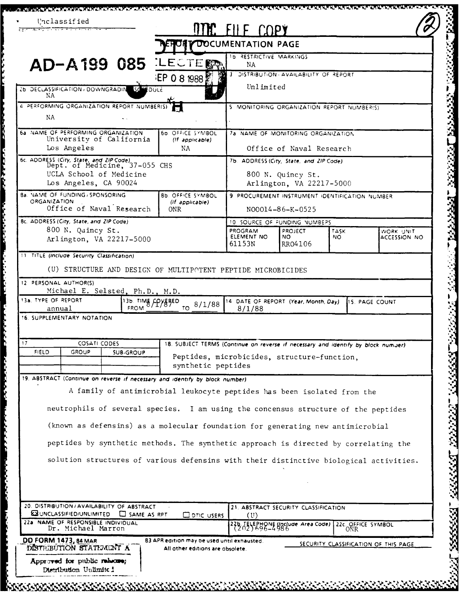|                                                                                                                                                                      |                                                                                   | <b>MMC ELLE COPY</b><br><b>OF Y DOCUMENTATION PAGE</b> |                                            |             |                                      |  |
|----------------------------------------------------------------------------------------------------------------------------------------------------------------------|-----------------------------------------------------------------------------------|--------------------------------------------------------|--------------------------------------------|-------------|--------------------------------------|--|
|                                                                                                                                                                      |                                                                                   | 16 RESTRICTIVE MARKINGS                                |                                            |             |                                      |  |
| <b>AD-A199 085 LECTERY</b>                                                                                                                                           |                                                                                   | NA                                                     |                                            |             |                                      |  |
|                                                                                                                                                                      | <b>IEP 0 8 1988</b>                                                               | DISTRIBUTION AVAILABILITY OF REPORT<br>Unlimited       |                                            |             |                                      |  |
| 26 DECLASSIFICATION / DOWNGRADIN 50 20 DULE<br>NΑ                                                                                                                    |                                                                                   |                                                        |                                            |             |                                      |  |
| 4 PERFORMING ORGANIZATION REPORT NUMBER(S)                                                                                                                           |                                                                                   |                                                        | 5 MONITORING ORGANIZATION REPORT NUMBER(S) |             |                                      |  |
| NA                                                                                                                                                                   |                                                                                   |                                                        |                                            |             |                                      |  |
| 6a NAME OF PERFORMING ORGANIZATION<br>University of California                                                                                                       | 60. OFFICE SYMBOL<br>(If applicable)                                              | 7a NAME OF MONITORING ORGANIZATION                     |                                            |             |                                      |  |
| Los Angeles                                                                                                                                                          | NА                                                                                | Office of Naval Research                               |                                            |             |                                      |  |
| 6c. ADDRESS (City, State, and ZIP Code)<br>Dept. of Medicine, 37-055 CHS                                                                                             |                                                                                   | 7b. ADDRESS (City, State, and ZIP Code)                |                                            |             |                                      |  |
| UCLA School of Medicine<br>Los Angeles, CA 90024                                                                                                                     |                                                                                   | 800 N. Quincy St.<br>Arlington, VA 22217-5000          |                                            |             |                                      |  |
| <b>Ba. VAME OF FUNDING / SPONSORING</b>                                                                                                                              |                                                                                   | 9 PROCUREMENT INSTRUMENT IDENTIFICATION NUMBER         |                                            |             |                                      |  |
| <b>ORGANIZATION</b><br>Office of Naval Research                                                                                                                      | (If applicable)<br><b>ONR</b>                                                     |                                                        | NO0014-86-K-0525                           |             |                                      |  |
| 8c. ADDRESS (City, State, and ZIP Code)                                                                                                                              |                                                                                   | 10 SOURCE OF FUNDING NUMBERS                           |                                            |             |                                      |  |
| 800 N. Quincy St.<br>Arlington, VA 22217-5000                                                                                                                        |                                                                                   | PROGRAM<br>ELEMENT NO                                  | <b>PROJECT</b><br>NO.                      | TASK<br>NO. | WORK UNIT<br>ACCESSION NO            |  |
|                                                                                                                                                                      |                                                                                   | 61153N                                                 | RR04106                                    |             |                                      |  |
| 11 TITLE (Include Security Classification)                                                                                                                           |                                                                                   |                                                        |                                            |             |                                      |  |
| (U) STRUCTURE AND DESIGN OF MULTIPOTENT PEPTIDE MICROBICIDES                                                                                                         |                                                                                   |                                                        |                                            |             |                                      |  |
| 12 PERSONAL AUTHOR(S)                                                                                                                                                |                                                                                   |                                                        |                                            |             |                                      |  |
|                                                                                                                                                                      |                                                                                   |                                                        |                                            |             |                                      |  |
| Michael E. Selsted, Ph.D., M.D.                                                                                                                                      |                                                                                   | 14 DATE OF REPORT (Year, Month, Day)                   |                                            |             | 115. PAGE COUNT                      |  |
| 13a, TYPE OF REPORT<br>annual                                                                                                                                        | 13b. TIME COYEBED<br>8/1/88<br>TO.                                                | 8/1/88                                                 |                                            |             |                                      |  |
|                                                                                                                                                                      |                                                                                   |                                                        |                                            |             |                                      |  |
| 16. SUPPLEMENTARY NOTATION<br>17                                                                                                                                     |                                                                                   |                                                        |                                            |             |                                      |  |
| <b>COSATI CODES</b><br>FIELD<br>GROUP<br>SUB-GROUP                                                                                                                   | 18. SUBJECT TERMS (Continue on reverse if necessary and identify by block number) |                                                        |                                            |             |                                      |  |
|                                                                                                                                                                      | Peptides, microbicides, structure-function,<br>synthetic peptides                 |                                                        |                                            |             |                                      |  |
|                                                                                                                                                                      |                                                                                   |                                                        |                                            |             |                                      |  |
|                                                                                                                                                                      | A family of antimicrobial leukocyte peptides has been isolated from the           |                                                        |                                            |             |                                      |  |
|                                                                                                                                                                      |                                                                                   |                                                        |                                            |             |                                      |  |
| neutrophils of several species. I am using the concensus structure of the peptides                                                                                   |                                                                                   |                                                        |                                            |             |                                      |  |
| (known as defensins) as a molecular foundation for generating new antimicrobial                                                                                      |                                                                                   |                                                        |                                            |             |                                      |  |
| 19. ABSTRACT (Continue on reverse if necessary and identify by block number)<br>peptides by synthetic methods. The synthetic approach is directed by correlating the |                                                                                   |                                                        |                                            |             |                                      |  |
|                                                                                                                                                                      |                                                                                   |                                                        |                                            |             |                                      |  |
| solution structures of various defensins with their distinctive biological activities.                                                                               |                                                                                   |                                                        |                                            |             |                                      |  |
|                                                                                                                                                                      |                                                                                   |                                                        |                                            |             |                                      |  |
|                                                                                                                                                                      |                                                                                   |                                                        |                                            |             |                                      |  |
| 20. DISTRIBUTION / AVAILABILITY OF ABSTRACT                                                                                                                          |                                                                                   |                                                        | 21. ABSTRACT SECURITY CLASSIFICATION       |             |                                      |  |
| <b>EXUNCLASSIFIED/UNLIMITED C</b> SAME AS RPT<br>Dr. Michael Marron                                                                                                  | ODTIC USERS                                                                       | (U)                                                    | 22b TELEPHONE Unclude Area Code)           |             |                                      |  |
| 22a NAME OF RESPONSIBLE INDIVIDUAL<br><b>DD FORM 1473, 84 MAR</b>                                                                                                    | 83 APR edition may be used until exhausted.                                       |                                                        |                                            |             | 22c. OFFICE SYMBOL                   |  |
| DISTRIBUTION STATEMENT A<br>Approved for public reluces;                                                                                                             | All other editions are obsolete.                                                  |                                                        |                                            |             | SECURITY CLASSIFICATION OF THIS PAGE |  |

in 19

**THE PARTIES**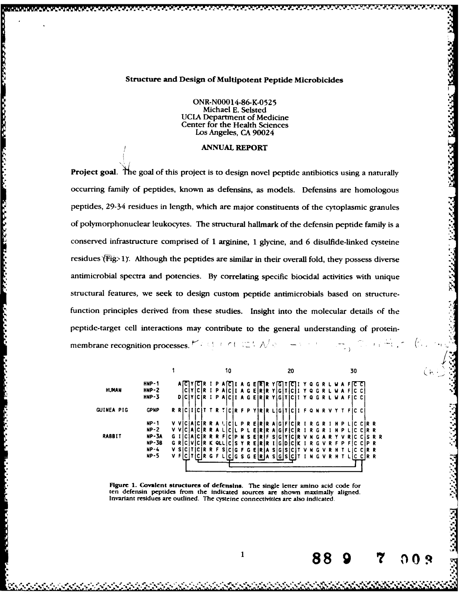## Structure and Design of Multipotent Peptide Microbicides

**ONR-N00014-86-K-052 5** Michael **E.** Seisted UCLA Department of Medicine Center for the Health Sciences Los Angeles, **CA** 90024

## ANNUAL REPORT

インフィング しょうしん しゅうしょう こうしんしょう しょうしょう こうしょう こうしょうしょう

Project goal. The goal of this project is to design novel peptide antibiotics using a naturally occurring family of peptides, known as defensins, as models. Defensins are homologous peptides, 29-34 residues in length, which are major constituents of the cytoplasmic granules of polymorphonuclear leukocytes. The structural hallmark of the defensin peptide family is a conserved infrastructure comprised of **1** arginine, 1 glycine, and **6** disulfide-linked cysteine residues (Fig. 1). Although the peptides are similar in their overall fold, they possess diverse antimicrobial spectra and potencies. **By** correlating specific biocidal activities with unique structural features, we seek to design custom peptide antimicrobials based on structurefunction principles derived from these studies. Insight into the molecular details of the peptide-target cell interactions may contribute to the general understanding of proteinmembrane recognition processes.  $\forall$  A A A A A A A  $\vee$ 

|                                                      |              |                 |                                          | 20                                                             | 30                          | ъ.<br>m. |
|------------------------------------------------------|--------------|-----------------|------------------------------------------|----------------------------------------------------------------|-----------------------------|----------|
|                                                      | $HNP-1$      |                 |                                          | $A$ [C]Y[C]R I PA[C]I A G E[R]R Y[G]T[C]I Y Q G R L W A F[C C] |                             |          |
| <b>HUMAN</b><br>$HMP-2$<br>$HNP-3$                   |              |                 |                                          | CIYICIR I PAICII A G EIRIR YIGITICII Y Q G R L W A FIC CI      |                             |          |
|                                                      |              |                 |                                          | DICIYICIR I PAICII A G EIRIR YIGITICII Y Q G R L W A FIC CI    |                             |          |
| <b>GUINEA PIG</b><br><b>GPNP</b><br>$NP-1$<br>$NP-2$ |              |                 |                                          | R RICIIICIT T R TICIR F P YIRIR LIGITICII F Q N R V Y T FIC CI |                             |          |
|                                                      |              | v vl            | ICIAICIR R A LICIL P R EIRIR AIGIFICIR I |                                                                |                             |          |
|                                                      |              | V VICIAICIR R A |                                          | <b>PLEIRIRAIGIFICIRI</b>                                       | INPI<br>R<br>IC CIR R       |          |
| <b>RABBIT</b><br>$NP-4$<br>$NP-5$                    | <b>NP-3A</b> | G I             | ICIAICIR R R F<br>S EIR                  | -S 1 G 1                                                       | IC CIS R R                  |          |
|                                                      | <b>NP-3B</b> | GRI             | ICIVICIR K QLLIC<br>YREIR                | l I G I D                                                      | R G V R F P FIC CIP R       |          |
|                                                      |              | v si            | ITICIR R F S                             | ICIG FG EIRIA SIGISICIT                                        | IC CIR R                    |          |
|                                                      |              | VFI<br>IC I     | ICIR G F L                               | ICIGS GEIRIA SIGISICIT                                         | <b>INGVRHTI</b><br>IC CIR R |          |
|                                                      |              |                 |                                          |                                                                |                             |          |

Figure 1. Covalent structures of defensins. The single letter amino acid code for<br>ten defensin peptides from the indicated sources are shown maximally aligned. ten defension peptides are outlined. The cysteine connectivities are also indicated.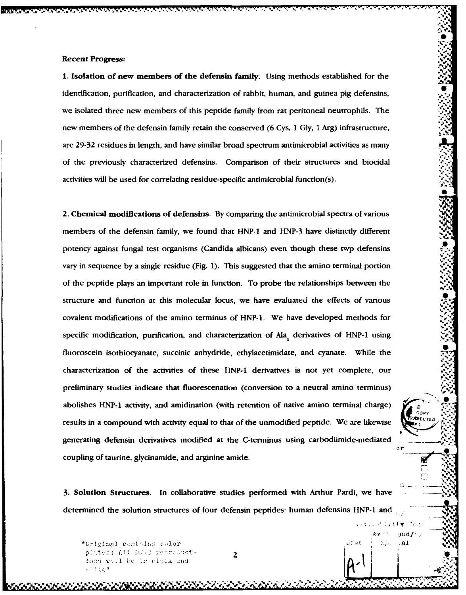**1. Isolation of new members of the defensin** family. Using methods established for the identification, purification, and characterization of rabbit, human, and guinea pig defensins, we isolated three new members of this peptide family from rat peritoneal neutrophils. The new members of the defensin family retain the conserved (6 Cys, 1 Gly, 1 Arg) infrastructure, are 29-32 residues in length, and have similar broad spectrum antimicrobial activities as many of the previously characterized defensins. Comparison of their structures and biocidal activities will be used for correlating residue-specific antimicrobial function(s). **"'**

**, . .. .'- - "--**

**S**

**%**

**%. .'**

 $\circ$ r

 $\sim$  11  $\tau$ 

S.

្វអា

 $\Delta$ bine  $. a1$ 

П  $\Box$ 

2. Chemical modifications of defensins. **By** comparing the antimicrobial spectra of various members of the defensin family, we found that HNP-1 and HNP-3 have distinctly different potency against fungal test organisms (Candida albicans) even though these twp defensins vary in sequence **by** a single residue (Fig. 1). This suggested that the amino terminal portion of the peptide plays an important role in function. To probe the relationships between the structure and function at this molecular locus, we have evaluated the effects of various covalent modifications of the amino terminus of HNP-1. We have developed methods for **%** specific modification, purification, and characterization of Ala<sub>,</sub> derivatives of HNP-1 using fluoroscein isothiocyanate, succinic anhydride, ethylacetimidate, and cyanate. While the characterization of the activities of these HNP-1 derivatives is not yet complete, our preliminary studies indicate that fluorescenation (conversion to a neutral amino terminus) abolishes HNP-1 activity, and amidination (with retention of native amino terminal charge) results in a compound with activity equal to that of the unmodified peptide. We are likewise generating defensin derivatives modified at the C-terminus using carbodiimide-mediated coupling of taurine, glycinamide, and arginine amide. The same state of the state of the state of the state of the state of the state of the state of the state of the state of the state of the state of the state of the sta

**3.** Solution Structures. in collaborative studies performed with Arthur Pardi, we have determined the solution structures of four defensin peptides: human defensins HNP-1 and

*e\_* . ...... *se-.- 4. X* **e**

**Pr** 2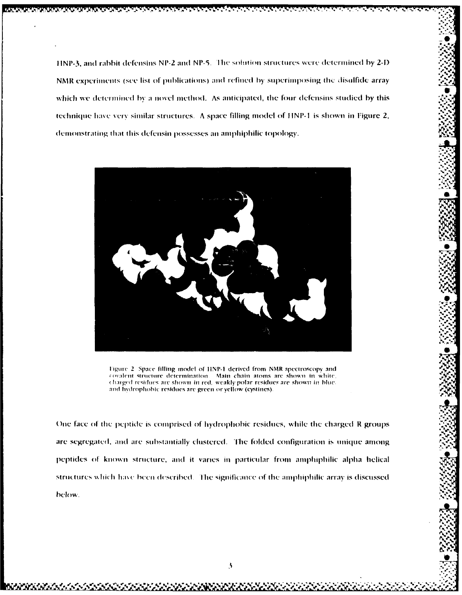HNP-3, and rabbit defensins NP-2 and NP-5. The solution structures were determined by 2-D NMR experiments (see list of publications) and refined by superimposing the disulfide array which we determined by a novel method. As anticipated, the four defensins studied by this technique have very similar structures. A space filling model of HNP-1 is shown in Figure 2, demonstrating that this defensin possesses an amphiphilic topology.



Figure 2. Space filling model of HNP-1 derived from NMR spectroscopy and covalent structure determination. Main chain atoms are shown in white. charged residues are shown in red, weakly polar residues are shown in blue. and hydrophobic residues are green or yellow (cystines).

One face of the peptide is comprised of hydrophobic residues, while the charged R groups are segregated, and are substantially clustered. The folded configuration is unique among peptides of known structure, and it varies in particular from amphiphilic alpha helical structures which have been described. The significance of the amphiphilic array is discussed below.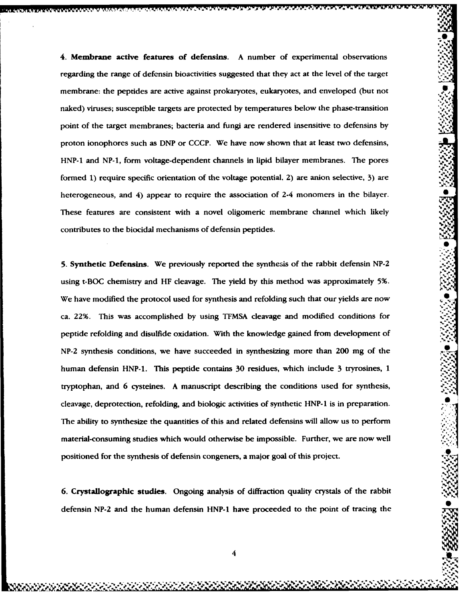4. Membrane active features of defensins. A number of experimental observations regarding the range of defensin bioactivities suggested that they act at the level of the target membrane: the peptides are active against prokaryotes, eukaryotes, and enveloped (but not naked) viruses; susceptible targets are protected **by** temperatures below the phase-transition point of the target membranes; bacteria and fungi are rendered insensitive to defensins by proton ionophores such as DNP or CCCP. We have now shown that at least two defensins, HNP-1 and NP-1, form voltage-dependent channels in lipid bilayer membranes. The pores formed 1) require specific orientation of the voltage potential, 2) are anion selective, 3) are heterogeneous, and  $\acute{4}$ ) appear to require the association of 2-4 monomers in the bilayer. These features are consistent with a novel oligomeric membrane channel which likely contributes to the biocidal mechanisms of defensin peptides.

**- N , --** \*. \_ - - ' -

**5.** Synthetic Defensins. We previously reported the synthesis of the rabbit defensin **NP-2** using t-BOC chemistry and HF cleavage. The yield **by** this method was approximately 5%. **41** We have modified the protocol used for synthesis and refolding such that our yields are now ca. 22%. This was accomplished **by** using TFMSA cleavage and modified conditions for peptide refolding and disulfide oxidation. With the knowledge gained from development of **NP-2** synthesis conditions, we have succeeded in synthesizing more than 200 mg of the  human defensin HNP-1. This peptide contains 30 residues, which include 3 tryrosines, 1 tryptophan, and 6 cysteines. **A** manuscript describing the conditions used for synthesis, cleavage, deprotection, refolding, and biologic activities of synthetic HNP-1 is in preparation. The ability to synthesize the quantities of this and related defensins will allow us to perform material-consuming studies which would otherwise be impossible. Further, we are now well positioned for the synthesis of defensin congeners, a major goal of this project.

6. Crystallographic studies. Ongoing analysis of diffraction quality crystals of the rabbit defensin **NP-2** and the human defensin **HNP-1** have proceeded to the point of tracing the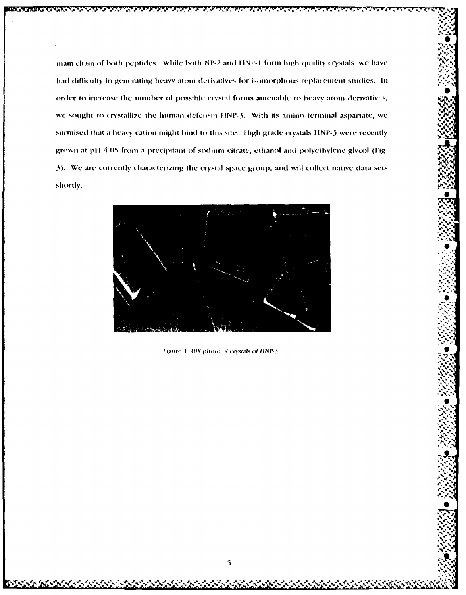main chain of both peptides. While both NP-2 and HNP-1 form high quality crystals, we have had difficulty in generating heavy atom derivatives for isomorphous replacement studies. In order to increase the number of possible crystal forms amenable to heavy atom derivatives, we sought to crystallize the human defensin HNP-3. With its amino terminal aspartate, we surmised that a heavy cation might bind to this site. High grade crystals HNP-3 were recently grown at pH 4.05 from a precipitant of sodium citrate, ethanol and polyethylene glycol (Fig. 3). We are currently characterizing the crystal space group, and will collect native data sets shortly.



Figure 3 10X photo of crystals of HNP-3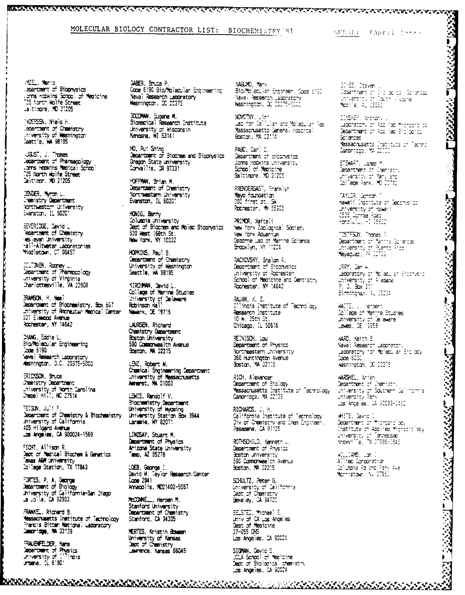MOLECULAR BIOLOGY CONTRACTOR LIST: BIOCHEMISTRY BI

SUBSET (April 1988)

ME. Marto apartment of Biophysics Loms Hopkins Scroot of Medicine T25 North Wolfe Street<br>T25 North Wolfe Street

**NDERSEN.** Niels H. Tepartment of Chemistry intversity of Washington

UGUST, J. Tromas<br>Cepartment of Pharmacology coms nookins Medical School 25 North Wolfe Street . Calitimor. ND 21205

**JBIDER, Myrch L.** Chanistry Department<br>Northwester University<br>Evanston, IL 50201

BEVERIDGE, Cavid L epartment of Chemistry es eyar university hall-Altwater Laboratories<br>Middletown, CT 06457

SILTONEN, Roomey L. Cepartment of Pharmocology The interesting of the interesting<br>the interesting of Virginia

BRAMSON, H. Neal Continues in the content of Biochemistry, Box 607 Robinson Hall<br>Controllers of Biochemistry, Box 607 Robinson Hall 301 Eimmood Avenue Rochester, NY 14642

MANG, Eddie L. Bio/Molecular Engineering Code 5190 'vaval Research Laboratory<br>Heshington, D.C. 20375-5000

ERICKSON, Sruce Chemistry Department University of North Carolina<br>Chapel Hill, NC 27514

FEIGON, Juli F Continent of Chemistry & Biochemistry<br>University of California 105 Hilgard Avenue Los Angeles, CA 900024-1569

FIGHT, Allison R. Dept of Medical Biochem & Genetics Taxas AM University<br>College Station, TX 77843

FORTES, P. A. George<br>Department of Biology<br>University of California-San Diego<br>La Jolla, CA 92903

FRANKEL, Richard B. **Massacrusetts institute of Technology** Trancis Bitter National Laboratory

FRAUENFELDER, Hans Department of Physics<br>Department of Physics<br>Urbana, IL 61801 GABER, Bruce P. Code 6190 Bio/Molecular Engineering Naval Research Laboratory

3000MW, Eugene M.<br>Siomagical Research Institute University of Wisconsin<br>Kenosha, WI 53141

HO, Put Shing Department of Siochem and Siophysics Oregon State university Corvailis, OR 97331

HOFFMAN, Brian M. Department of Chemistry Northwestern University Evanston, IL 60201

HONIG, Barry Columnia University Dept of Biochem and Molec Siophysics 530 West 168th St. New York, NY 10032

HOPKINS, Paul 8. Department of Chamistry University of Washington Seattle, MA 98195

KIRC-MAN, David L. Colliege of Marine Studies University of Delaware

LAURSEN, Richard Chemistry Department Boston University 590 Commonwealth Avenue Soston, MA 02215

LENZ, Robert W. Chanical Engineering Department<br>University of Massacrusetts<br>Amerst, MA 01003

LEWIS. Randolf V. **Siochemistry Department** University of Wyaming University Station Box 3944

LINDSAY, Stuart M. Department of Physics Arizona State University amp, AZ 35278

LOEB, George 1. David W. Taylor Research Center Code 2841 Annapolis, MD21402-5067

McCONNELL, Harden M. Stanford University Department of Chemistry Stanford, CA 34305

MERTES, Kristin Bowman University of Kansas<br>Dept of Chemistry Lawrence, Kansas 66045

MAGLMO, Marx Bio/Molecular Engineer. Code 6190 Navai Research Laponatory<br>Wasnington, 20 20075-5000

NOVOTNY, Usini<br>Lab for Callular and Molecular Res Massacrusetts General Hospital

PABC, Carl C. Department of diconvsios Joms hopkins university School of Medicine

PRENDERGAST. Franklivn Mayo foundation Rochester. W 55905

PRIMOR, Naftali New York Zoological Society New York Aquarium Osporne Lap of Marine Science

RACKOVSKY, Shalon R. Department of Siconvictors<br>University of Rocrester School of Medicine and Dentistry Rochester, NY 14642

RAJAN, K. S. Illinois Institute of Tecmolocy Research Institute  $10$  W.  $35$ th  $3$ t. Chicago, IL 50616

REINISCH. Lau Department of Physics Northeastern University 360 Huntington Avenue<br>360 Huntington Avenue

RICH. Alexander Num, Riesaler<br>**Vessacrusetts** Institute of Technology<br>Camoridge, MA 02139

RICHARDS, J. H. California Institute of Technology Div of Chemistry and Chem Engineer.<br>Pasadena, CA 91125

ROTHSCHILD, Kenneth J. Department of Physics Boston University 590 Commonwealth Avenue Bastan, MA 02215

SCHULTZ, Peter G. University of California Dept of Chemistry<br>Bekeley, CA 34720

SELSTED, Michael E.<br>Univ of CA Los Angeles<br>Dept of Medicine 37-055 CHS Los Angeles, CA 90024

SIGMAN, David S. JCLA School of Medicine Dept of Biological chemistry SIMES, Steven J.<br>Dapanthent of Sid points (Sorenoza)<br>University of Coutr (Papare)<br>Mootie, AL 35566

EDISKEY, Antropy Understory of App Fed Micropro co.<br>Department of App Red Bibliograph Sciences. **Massacrusetts Institute of Technol**<br>Campridge, MA CC100

STEWART, James M Diamont Calles<br>Continent of Dieristry<br>University of Maryland<br>College Park, MD 20142

TAYLOR, Gondan T.<br>Hawaii Institute of Geophysica Same Production<br>CR25 Connea Road<br>Honolulu, H1 25822

TOSTESON, Tromas R<br>Department of Manine Scriences<br>University of Puento Rico<br>Mayaguez, PR 20109

URRY, Dan H. University of Molecular Brochesto<br>University of Alabama<br>P. D. Box 311 Birmingnam, AL 35294

WAITE, U. Hendent<br>College of Mannne Studies winder of the study<br>university of Deleware<br>Lewes, DE 19958

MARD, Keith B.<br>Naval Research Laponatory<br>Laponatory for Molecular Bibliocy<br>Code 6030<br>Constants - Michael School wasnington, 00 00375

**WARSHEL, A**nien<br>Department of Chemistry<br>University of Soutnern Ca<sup>llin</sup>ornia<br>University Park Las Angelies, DA 90089-0482

MHITE, David C.<br>Department of Micropic'ocy Contract of Applied Mencover boy<br>Chiversity of Tennessee<br>Knowsille, TN 37995-1945

WILLIAMS, Ugn I<br>Allied Corporation<br>Columpia Rd and Park Ave.<br>Monhistown, NU 07853